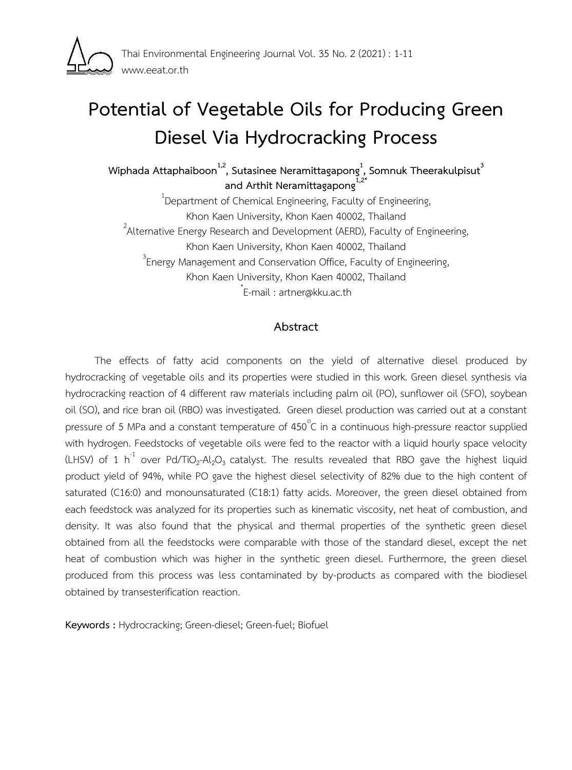

# **Potential of Vegetable Oils for Producing Green Diesel Via Hydrocracking Process**

**Wiphada Attaphaiboon1,2, Sutasinee Neramittagapong<sup>1</sup> , Somnuk Theerakulpisut<sup>3</sup> and Arthit Neramittagapong1,2\***

1 Department of Chemical Engineering, Faculty of Engineering, Khon Kaen University, Khon Kaen 40002, Thailand 2 Alternative Energy Research and Development (AERD), Faculty of Engineering, Khon Kaen University, Khon Kaen 40002, Thailand 3 Energy Management and Conservation Office, Faculty of Engineering, Khon Kaen University, Khon Kaen 40002, Thailand \* E-mail : artner@kku.ac.th

**Abstract**

The effects of fatty acid components on the yield of alternative diesel produced by hydrocracking of vegetable oils and its properties were studied in this work. Green diesel synthesis via hydrocracking reaction of 4 different raw materials including palm oil (PO), sunflower oil (SFO), soybean oil (SO), and rice bran oil (RBO) was investigated. Green diesel production was carried out at a constant pressure of 5 MPa and a constant temperature of 450°C in a continuous high-pressure reactor supplied with hydrogen. Feedstocks of vegetable oils were fed to the reactor with a liquid hourly space velocity (LHSV) of 1 h<sup>-1</sup> over Pd/TiO<sub>2</sub>-Al<sub>2</sub>O<sub>3</sub> catalyst. The results revealed that RBO gave the highest liquid product yield of 94%, while PO gave the highest diesel selectivity of 82% due to the high content of saturated (C16:0) and monounsaturated (C18:1) fatty acids. Moreover, the green diesel obtained from each feedstock was analyzed for its properties such as kinematic viscosity, net heat of combustion, and density. It was also found that the physical and thermal properties of the synthetic green diesel obtained from all the feedstocks were comparable with those of the standard diesel, except the net heat of combustion which was higher in the synthetic green diesel. Furthermore, the green diesel produced from this process was less contaminated by by-products as compared with the biodiesel obtained by transesterification reaction.

**Keywords :** Hydrocracking; Green-diesel; Green-fuel; Biofuel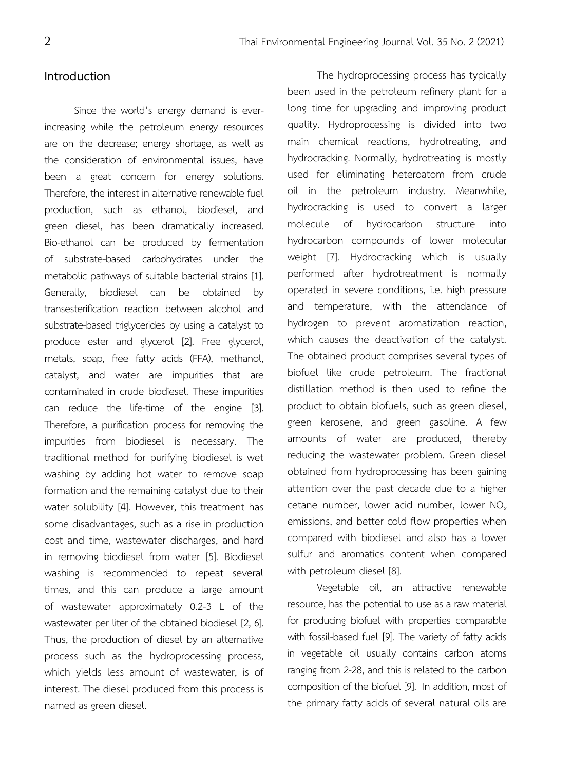# **Introduction**

Since the world's energy demand is everincreasing while the petroleum energy resources are on the decrease; energy shortage, as well as the consideration of environmental issues, have been a great concern for energy solutions. Therefore, the interest in alternative renewable fuel production, such as ethanol, biodiesel, and green diesel, has been dramatically increased. Bio-ethanol can be produced by fermentation of substrate-based carbohydrates under the metabolic pathways of suitable bacterial strains [1]. Generally, biodiesel can be obtained by transesterification reaction between alcohol and substrate-based triglycerides by using a catalyst to produce ester and glycerol [2]. Free glycerol, metals, soap, free fatty acids (FFA), methanol, catalyst, and water are impurities that are contaminated in crude biodiesel. These impurities can reduce the life-time of the engine [3]. Therefore, a purification process for removing the impurities from biodiesel is necessary. The traditional method for purifying biodiesel is wet washing by adding hot water to remove soap formation and the remaining catalyst due to their water solubility [4]. However, this treatment has some disadvantages, such as a rise in production cost and time, wastewater discharges, and hard in removing biodiesel from water [5]. Biodiesel washing is recommended to repeat several times, and this can produce a large amount of wastewater approximately 0.2-3 L of the wastewater per liter of the obtained biodiesel [2, 6]. Thus, the production of diesel by an alternative process such as the hydroprocessing process, which yields less amount of wastewater, is of interest. The diesel produced from this process is named as green diesel.

The hydroprocessing process has typically been used in the petroleum refinery plant for a long time for upgrading and improving product quality. Hydroprocessing is divided into two main chemical reactions, hydrotreating, and hydrocracking. Normally, hydrotreating is mostly used for eliminating heteroatom from crude oil in the petroleum industry. Meanwhile, hydrocracking is used to convert a larger molecule of hydrocarbon structure into hydrocarbon compounds of lower molecular weight [7]. Hydrocracking which is usually performed after hydrotreatment is normally operated in severe conditions, i.e. high pressure and temperature, with the attendance of hydrogen to prevent aromatization reaction, which causes the deactivation of the catalyst. The obtained product comprises several types of biofuel like crude petroleum. The fractional distillation method is then used to refine the product to obtain biofuels, such as green diesel, green kerosene, and green gasoline. A few amounts of water are produced, thereby reducing the wastewater problem. Green diesel obtained from hydroprocessing has been gaining attention over the past decade due to a higher cetane number, lower acid number, lower  $NO<sub>x</sub>$ emissions, and better cold flow properties when compared with biodiesel and also has a lower sulfur and aromatics content when compared with petroleum diesel [8].

Vegetable oil, an attractive renewable resource, has the potential to use as a raw material for producing biofuel with properties comparable with fossil-based fuel [9]. The variety of fatty acids in vegetable oil usually contains carbon atoms ranging from 2-28, and this is related to the carbon composition of the biofuel [9]. In addition, most of the primary fatty acids of several natural oils are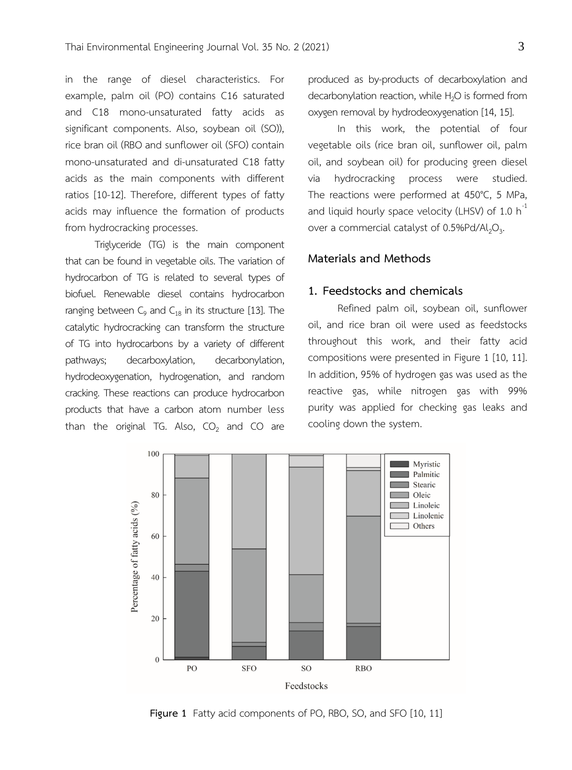in the range of diesel characteristics. For example, palm oil (PO) contains C16 saturated and C18 mono-unsaturated fatty acids as significant components. Also, soybean oil (SO)), rice bran oil (RBO and sunflower oil (SFO) contain mono-unsaturated and di-unsaturated C18 fatty acids as the main components with different ratios [10-12]. Therefore, different types of fatty acids may influence the formation of products from hydrocracking processes.

Triglyceride (TG) is the main component that can be found in vegetable oils. The variation of hydrocarbon of TG is related to several types of biofuel. Renewable diesel contains hydrocarbon ranging between  $C_9$  and  $C_{18}$  in its structure [13]. The catalytic hydrocracking can transform the structure of TG into hydrocarbons by a variety of different pathways; decarboxylation, decarbonylation, hydrodeoxygenation, hydrogenation, and random cracking. These reactions can produce hydrocarbon products that have a carbon atom number less than the original TG. Also,  $CO<sub>2</sub>$  and CO are

produced as by-products of decarboxylation and decarbonylation reaction, while  $H_2O$  is formed from oxygen removal by hydrodeoxygenation [14, 15].

In this work, the potential of four vegetable oils (rice bran oil, sunflower oil, palm oil, and soybean oil) for producing green diesel via hydrocracking process were studied. The reactions were performed at 450°C, 5 MPa, and liquid hourly space velocity (LHSV) of 1.0  $h^{-1}$ over a commercial catalyst of  $0.5\%$ Pd/Al<sub>2</sub>O<sub>3</sub>. .

# **Materials and Methods**

## **1. Feedstocks and chemicals**

Refined palm oil, soybean oil, sunflower oil, and rice bran oil were used as feedstocks throughout this work, and their fatty acid compositions were presented in Figure 1 [10, 11]. In addition, 95% of hydrogen gas was used as the reactive gas, while nitrogen gas with 99% purity was applied for checking gas leaks and cooling down the system.



**Figure 1** Fatty acid components of PO, RBO, SO, and SFO [10, 11]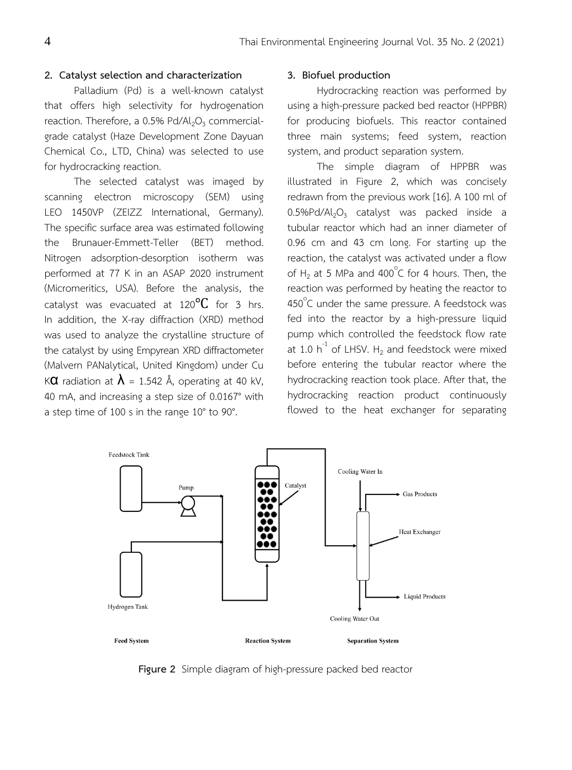## **2. Catalyst selection and characterization**

Palladium (Pd) is a well-known catalyst that offers high selectivity for hydrogenation reaction. Therefore, a  $0.5\%$  Pd/Al<sub>2</sub>O<sub>3</sub> commercialgrade catalyst (Haze Development Zone Dayuan Chemical Co., LTD, China) was selected to use for hydrocracking reaction.

The selected catalyst was imaged by scanning electron microscopy (SEM) using LEO 1450VP (ZEIZZ International, Germany). The specific surface area was estimated following the Brunauer-Emmett-Teller (BET) method. Nitrogen adsorption-desorption isotherm was performed at 77 K in an ASAP 2020 instrument (Micromeritics, USA). Before the analysis, the catalyst was evacuated at  $120^{\circ}C$  for 3 hrs. In addition, the X-ray diffraction (XRD) method was used to analyze the crystalline structure of the catalyst by using Empyrean XRD diffractometer (Malvern PANalytical, United Kingdom) under Cu K**C** radiation at  $\lambda$  = 1.542 Å, operating at 40 kV, 40 mA, and increasing a step size of 0.0167° with a step time of 100 s in the range 10° to 90°.

## **3. Biofuel production**

Hydrocracking reaction was performed by using a high-pressure packed bed reactor (HPPBR) for producing biofuels. This reactor contained three main systems; feed system, reaction system, and product separation system.

The simple diagram of HPPBR was illustrated in Figure 2, which was concisely redrawn from the previous work [16]. A 100 ml of  $0.5\%$ Pd/Al<sub>2</sub>O<sub>3</sub> catalyst was packed inside a tubular reactor which had an inner diameter of 0.96 cm and 43 cm long. For starting up the reaction, the catalyst was activated under a flow of  $H_2$  at 5 MPa and 400°C for 4 hours. Then, the reaction was performed by heating the reactor to 450°C under the same pressure. A feedstock was fed into the reactor by a high-pressure liquid pump which controlled the feedstock flow rate at 1.0  $h^{-1}$  of LHSV. H<sub>2</sub> and feedstock were mixed before entering the tubular reactor where the hydrocracking reaction took place. After that, the hydrocracking reaction product continuously flowed to the heat exchanger for separating



**Figure 2** Simple diagram of high-pressure packed bed reactor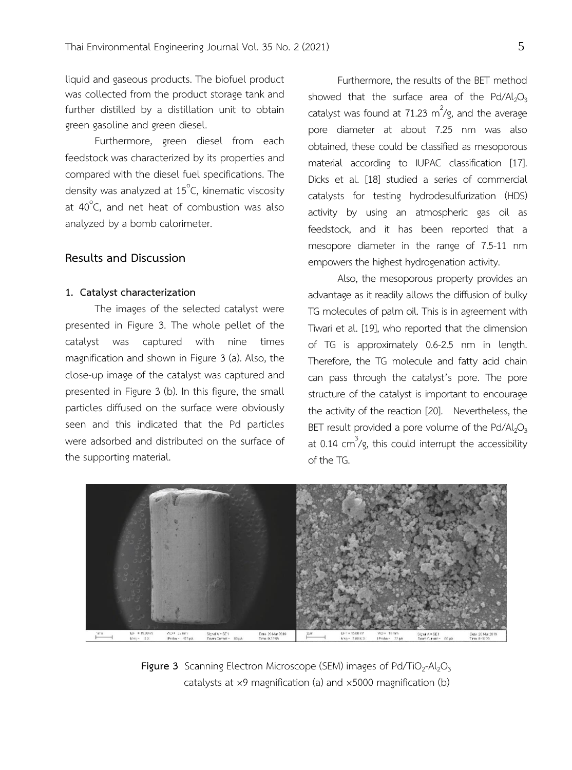liquid and gaseous products. The biofuel product was collected from the product storage tank and further distilled by a distillation unit to obtain green gasoline and green diesel.

Furthermore, green diesel from each feedstock was characterized by its properties and compared with the diesel fuel specifications. The density was analyzed at 15 $^{\circ}$ C, kinematic viscosity at  $40^{\circ}$ C, and net heat of combustion was also analyzed by a bomb calorimeter.

# **Results and Discussion**

#### **1. Catalyst characterization**

The images of the selected catalyst were presented in Figure 3. The whole pellet of the catalyst was captured with nine times magnification and shown in Figure 3 (a). Also, the close-up image of the catalyst was captured and presented in Figure 3 (b). In this figure, the small particles diffused on the surface were obviously seen and this indicated that the Pd particles were adsorbed and distributed on the surface of the supporting material.

Furthermore, the results of the BET method showed that the surface area of the Pd/Al<sub>2</sub>O<sub>3</sub> catalyst was found at 71.23  $m^2/g$ , and the average pore diameter at about 7.25 nm was also obtained, these could be classified as mesoporous material according to IUPAC classification [17]. Dicks et al. [18] studied a series of commercial catalysts for testing hydrodesulfurization (HDS) activity by using an atmospheric gas oil as feedstock, and it has been reported that a mesopore diameter in the range of 7.5-11 nm empowers the highest hydrogenation activity.

Also, the mesoporous property provides an advantage as it readily allows the diffusion of bulky TG molecules of palm oil. This is in agreement with Tiwari et al. [19], who reported that the dimension of TG is approximately 0.6-2.5 nm in length. Therefore, the TG molecule and fatty acid chain can pass through the catalyst's pore. The pore structure of the catalyst is important to encourage the activity of the reaction [20]. Nevertheless, the BET result provided a pore volume of the Pd/Al<sub>2</sub>O<sub>3</sub> at 0.14  $\text{cm}^3/\text{g}$ , this could interrupt the accessibility of the TG.



**Figure 3** Scanning Electron Microscope (SEM) images of Pd/TiO<sub>2</sub>-Al<sub>2</sub>O<sub>3</sub> catalysts at ×9 magnification (a) and ×5000 magnification (b)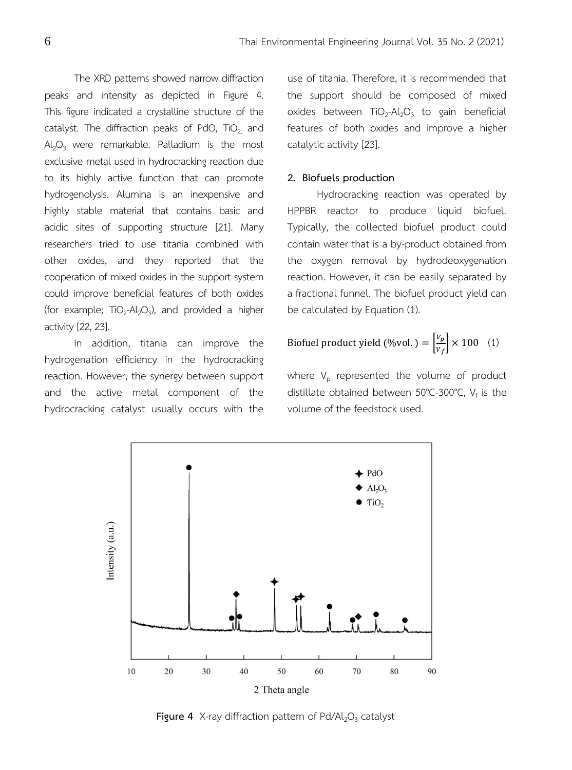The XRD patterns showed narrow diffraction peaks and intensity as depicted in Figure 4. This figure indicated a crystalline structure of the catalyst. The diffraction peaks of PdO, TiO<sub>2</sub> and  $Al_2O_3$  were remarkable. Palladium is the most exclusive metal used in hydrocracking reaction due to its highly active function that can promote hydrogenolysis. Alumina is an inexpensive and highly stable material that contains basic and acidic sites of supporting structure [21]. Many researchers tried to use titania combined with other oxides, and they reported that the cooperation of mixed oxides in the support system could improve beneficial features of both oxides (for example;  $TiO_2$ -Al<sub>2</sub>O<sub>3</sub>), and provided a higher activity [22, 23].

In addition, titania can improve the hydrogenation efficiency in the hydrocracking reaction. However, the synergy between support and the active metal component of the hydrocracking catalyst usually occurs with the

use of titania. Therefore, it is recommended that the support should be composed of mixed oxides between  $TiO_2$ -Al<sub>2</sub>O<sub>3</sub> to gain beneficial features of both oxides and improve a higher catalytic activity [23].

#### **2. Biofuels production**

Hydrocracking reaction was operated by HPPBR reactor to produce liquid biofuel. Typically, the collected biofuel product could contain water that is a by-product obtained from the oxygen removal by hydrodeoxygenation reaction. However, it can be easily separated by a fractional funnel. The biofuel product yield can be calculated by Equation (1).

#### Biofuel product yield (%vol.) =  $\frac{v}{v}$  $\frac{V_p}{V_f} \times 100$  (1)

where  $V_{\text{p}}$  represented the volume of product distillate obtained between  $50^{\circ}$ C-300 $^{\circ}$ C, V<sub>f</sub> is the volume of the feedstock used.



**Figure 4** X-ray diffraction pattern of  $Pd/Al_2O_3$  catalyst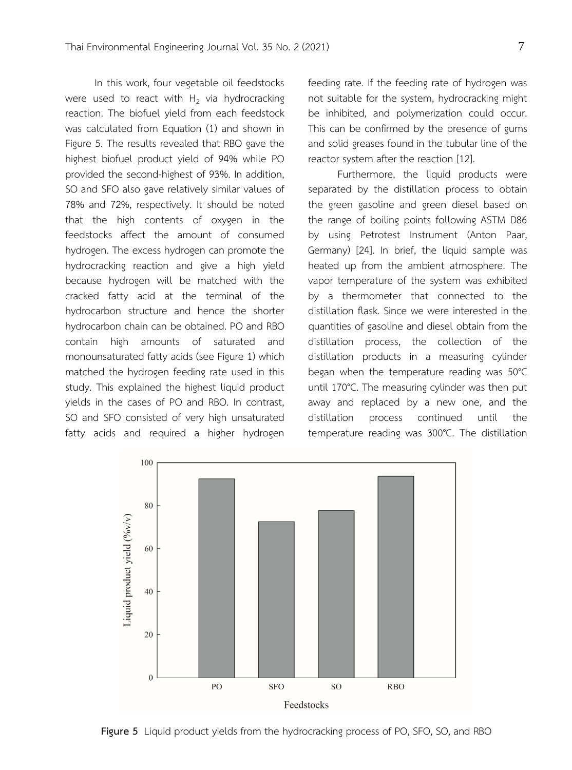In this work, four vegetable oil feedstocks were used to react with  $H_2$  via hydrocracking reaction. The biofuel yield from each feedstock was calculated from Equation (1) and shown in Figure 5. The results revealed that RBO gave the highest biofuel product yield of 94% while PO provided the second-highest of 93%. In addition, SO and SFO also gave relatively similar values of 78% and 72%, respectively. It should be noted that the high contents of oxygen in the feedstocks affect the amount of consumed hydrogen. The excess hydrogen can promote the hydrocracking reaction and give a high yield because hydrogen will be matched with the cracked fatty acid at the terminal of the hydrocarbon structure and hence the shorter hydrocarbon chain can be obtained. PO and RBO contain high amounts of saturated and monounsaturated fatty acids (see Figure 1) which matched the hydrogen feeding rate used in this study. This explained the highest liquid product yields in the cases of PO and RBO. In contrast, SO and SFO consisted of very high unsaturated fatty acids and required a higher hydrogen

feeding rate. If the feeding rate of hydrogen was not suitable for the system, hydrocracking might be inhibited, and polymerization could occur. This can be confirmed by the presence of gums and solid greases found in the tubular line of the reactor system after the reaction [12].

Furthermore, the liquid products were separated by the distillation process to obtain the green gasoline and green diesel based on the range of boiling points following ASTM D86 by using Petrotest Instrument (Anton Paar, Germany) [24]. In brief, the liquid sample was heated up from the ambient atmosphere. The vapor temperature of the system was exhibited by a thermometer that connected to the distillation flask. Since we were interested in the quantities of gasoline and diesel obtain from the distillation process, the collection of the distillation products in a measuring cylinder began when the temperature reading was 50°C until 170°C. The measuring cylinder was then put away and replaced by a new one, and the distillation process continued until the temperature reading was 300°C. The distillation



**Figure 5** Liquid product yields from the hydrocracking process of PO, SFO, SO, and RBO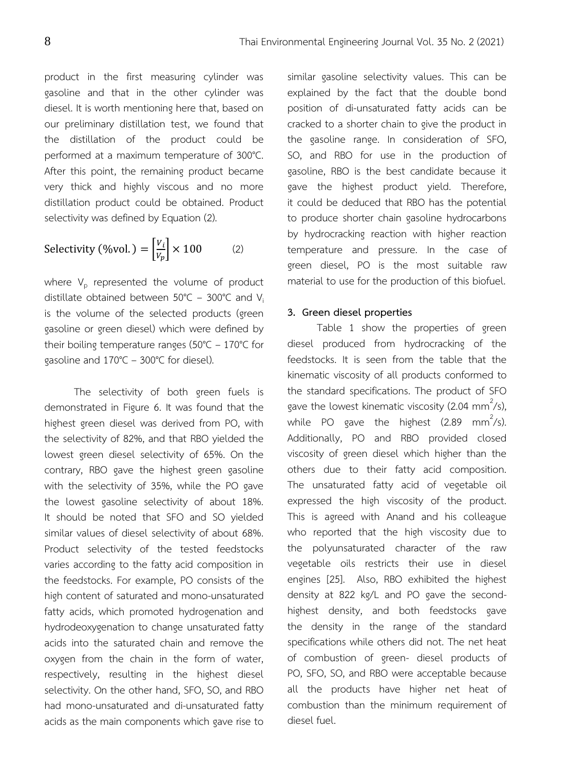product in the first measuring cylinder was gasoline and that in the other cylinder was diesel. It is worth mentioning here that, based on our preliminary distillation test, we found that the distillation of the product could be performed at a maximum temperature of 300°C. After this point, the remaining product became very thick and highly viscous and no more distillation product could be obtained. Product selectivity was defined by Equation (2).

$$
\text{Selectivity (%vol.)} = \left[\frac{v_i}{v_p}\right] \times 100 \tag{2}
$$

where  $V_{\text{p}}$  represented the volume of product distillate obtained between  $50^{\circ}$ C –  $300^{\circ}$ C and V<sub>i</sub> is the volume of the selected products (green gasoline or green diesel) which were defined by their boiling temperature ranges ( $50^{\circ}$ C – 170 $^{\circ}$ C for gasoline and 170°C – 300°C for diesel).

The selectivity of both green fuels is demonstrated in Figure 6. It was found that the highest green diesel was derived from PO, with the selectivity of 82%, and that RBO yielded the lowest green diesel selectivity of 65%. On the contrary, RBO gave the highest green gasoline with the selectivity of 35%, while the PO gave the lowest gasoline selectivity of about 18%. It should be noted that SFO and SO yielded similar values of diesel selectivity of about 68%. Product selectivity of the tested feedstocks varies according to the fatty acid composition in the feedstocks. For example, PO consists of the high content of saturated and mono-unsaturated fatty acids, which promoted hydrogenation and hydrodeoxygenation to change unsaturated fatty acids into the saturated chain and remove the oxygen from the chain in the form of water, respectively, resulting in the highest diesel selectivity. On the other hand, SFO, SO, and RBO had mono-unsaturated and di-unsaturated fatty acids as the main components which gave rise to

similar gasoline selectivity values. This can be explained by the fact that the double bond position of di-unsaturated fatty acids can be cracked to a shorter chain to give the product in the gasoline range. In consideration of SFO, SO, and RBO for use in the production of gasoline, RBO is the best candidate because it gave the highest product yield. Therefore, it could be deduced that RBO has the potential to produce shorter chain gasoline hydrocarbons by hydrocracking reaction with higher reaction temperature and pressure. In the case of green diesel, PO is the most suitable raw material to use for the production of this biofuel.

#### **3. Green diesel properties**

Table 1 show the properties of green diesel produced from hydrocracking of the feedstocks. It is seen from the table that the kinematic viscosity of all products conformed to the standard specifications. The product of SFO gave the lowest kinematic viscosity (2.04 mm<sup>2</sup>/s), while PO gave the highest  $(2.89 \text{ mm}^2/\text{s})$ . Additionally, PO and RBO provided closed viscosity of green diesel which higher than the others due to their fatty acid composition. The unsaturated fatty acid of vegetable oil expressed the high viscosity of the product. This is agreed with Anand and his colleague who reported that the high viscosity due to the polyunsaturated character of the raw vegetable oils restricts their use in diesel engines [25]. Also, RBO exhibited the highest density at 822 kg/L and PO gave the secondhighest density, and both feedstocks gave the density in the range of the standard specifications while others did not. The net heat of combustion of green- diesel products of PO, SFO, SO, and RBO were acceptable because all the products have higher net heat of combustion than the minimum requirement of diesel fuel.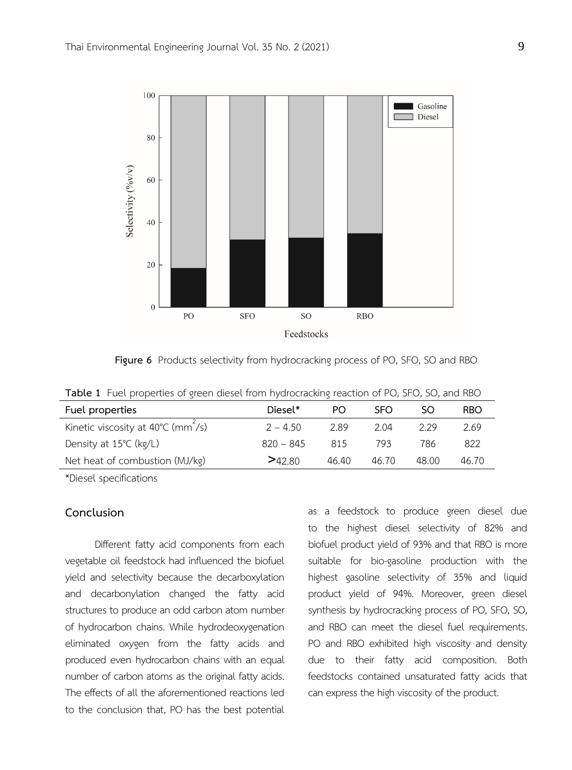

**Figure 6** Products selectivity from hydrocracking process of PO, SFO, SO and RBO

| $\frac{1}{2}$ and $\frac{1}{2}$ and $\frac{1}{2}$ and $\frac{1}{2}$ and $\frac{1}{2}$ and $\frac{1}{2}$ and $\frac{1}{2}$ and $\frac{1}{2}$ and $\frac{1}{2}$ and $\frac{1}{2}$ and $\frac{1}{2}$ and $\frac{1}{2}$ and $\frac{1}{2}$ and $\frac{1}{2}$ and $\frac{1}{2}$ and $\frac{1}{2}$ a |             |       |       |       |            |
|-----------------------------------------------------------------------------------------------------------------------------------------------------------------------------------------------------------------------------------------------------------------------------------------------|-------------|-------|-------|-------|------------|
| Fuel properties                                                                                                                                                                                                                                                                               | Diesel*     | PO.   | SFO.  |       | <b>RBO</b> |
| Kinetic viscosity at $40^{\circ}$ C (mm <sup>2</sup> /s)                                                                                                                                                                                                                                      | $2 - 4.50$  | 2.89  | 2.04  | 229   | 2.69       |
| Density at 15 <sup>°</sup> C (kg/L)                                                                                                                                                                                                                                                           | $820 - 845$ | 815   | 793   | 786   | 822        |
| Net heat of combustion (MJ/kg)                                                                                                                                                                                                                                                                | >42.80      | 46.40 | 46.70 | 48.00 | 46.70      |

**Table 1** Fuel properties of green diesel from hydrocracking reaction of PO, SFO, SO, and RBO

\*Diesel specifications

# **Conclusion**

Different fatty acid components from each vegetable oil feedstock had influenced the biofuel yield and selectivity because the decarboxylation and decarbonylation changed the fatty acid structures to produce an odd carbon atom number of hydrocarbon chains. While hydrodeoxygenation eliminated oxygen from the fatty acids and produced even hydrocarbon chains with an equal number of carbon atoms as the original fatty acids. The effects of all the aforementioned reactions led to the conclusion that, PO has the best potential as a feedstock to produce green diesel due to the highest diesel selectivity of 82% and biofuel product yield of 93% and that RBO is more suitable for bio-gasoline production with the highest gasoline selectivity of 35% and liquid product yield of 94%. Moreover, green diesel synthesis by hydrocracking process of PO, SFO, SO, and RBO can meet the diesel fuel requirements. PO and RBO exhibited high viscosity and density due to their fatty acid composition. Both feedstocks contained unsaturated fatty acids that can express the high viscosity of the product.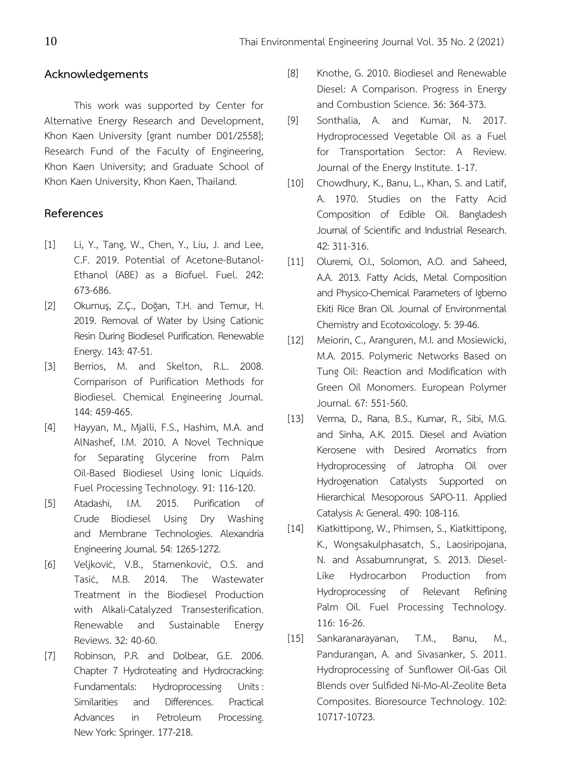## **Acknowledgements**

This work was supported by Center for Alternative Energy Research and Development, Khon Kaen University [grant number D01/2558]; Research Fund of the Faculty of Engineering, Khon Kaen University; and Graduate School of Khon Kaen University, Khon Kaen, Thailand.

## **References**

- [1] Li, Y., Tang, W., Chen, Y., Liu, J. and Lee, C.F. 2019. Potential of Acetone-Butanol-Ethanol (ABE) as a Biofuel. Fuel. 242: 673-686.
- [2] Okumuş, Z.Ç., Doğan, T.H. and Temur, H. 2019. Removal of Water by Using Cationic Resin During Biodiesel Purification. Renewable Energy. 143: 47-51.
- [3] Berrios, M. and Skelton, R.L. 2008. Comparison of Purification Methods for Biodiesel. Chemical Engineering Journal. 144: 459-465.
- [4] Hayyan, M., Mjalli, F.S., Hashim, M.A. and AlNashef, I.M. 2010. A Novel Technique for Separating Glycerine from Palm Oil-Based Biodiesel Using Ionic Liquids. Fuel Processing Technology. 91: 116-120.
- [5] Atadashi, I.M. 2015. Purification of Crude Biodiesel Using Dry Washing and Membrane Technologies. Alexandria Engineering Journal. 54: 1265-1272.
- [6] Veljković, V.B., Stamenković, O.S. and Tasić, M.B. 2014. The Wastewater Treatment in the Biodiesel Production with Alkali-Catalyzed Transesterification. Renewable and Sustainable Energy Reviews. 32: 40-60.
- [7] Robinson, P.R. and Dolbear, G.E. 2006. Chapter 7 Hydroteating and Hydrocracking: Fundamentals: Hydroprocessing Units : Similarities and Differences. Practical Advances in Petroleum Processing. New York: Springer. 177-218.
- [8] Knothe, G. 2010. Biodiesel and Renewable Diesel: A Comparison. Progress in Energy and Combustion Science. 36: 364-373.
- [9] Sonthalia, A. and Kumar, N. 2017. Hydroprocessed Vegetable Oil as a Fuel for Transportation Sector: A Review. Journal of the Energy Institute. 1-17.
- [10] Chowdhury, K., Banu, L., Khan, S. and Latif, A. 1970. Studies on the Fatty Acid Composition of Edible Oil. Bangladesh Journal of Scientific and Industrial Research. 42: 311-316.
- [11] Oluremi, O.I., Solomon, A.O. and Saheed, A.A. 2013. Fatty Acids, Metal Composition and Physico-Chemical Parameters of Igbemo Ekiti Rice Bran Oil. Journal of Environmental Chemistry and Ecotoxicology. 5: 39-46.
- [12] Meiorin, C., Aranguren, M.I. and Mosiewicki, M.A. 2015. Polymeric Networks Based on Tung Oil: Reaction and Modification with Green Oil Monomers. European Polymer Journal. 67: 551-560.
- [13] Verma, D., Rana, B.S., Kumar, R., Sibi, M.G. and Sinha, A.K. 2015. Diesel and Aviation Kerosene with Desired Aromatics from Hydroprocessing of Jatropha Oil over Hydrogenation Catalysts Supported on Hierarchical Mesoporous SAPO-11. Applied Catalysis A: General. 490: 108-116.
- [14] Kiatkittipong, W., Phimsen, S., Kiatkittipong, K., Wongsakulphasatch, S., Laosiripojana, N. and Assabumrungrat, S. 2013. Diesel-Like Hydrocarbon Production from Hydroprocessing of Relevant Refining Palm Oil. Fuel Processing Technology. 116: 16-26.
- [15] Sankaranarayanan, T.M., Banu, M., Pandurangan, A. and Sivasanker, S. 2011. Hydroprocessing of Sunflower Oil-Gas Oil Blends over Sulfided Ni-Mo-Al-Zeolite Beta Composites. Bioresource Technology. 102: 10717-10723.